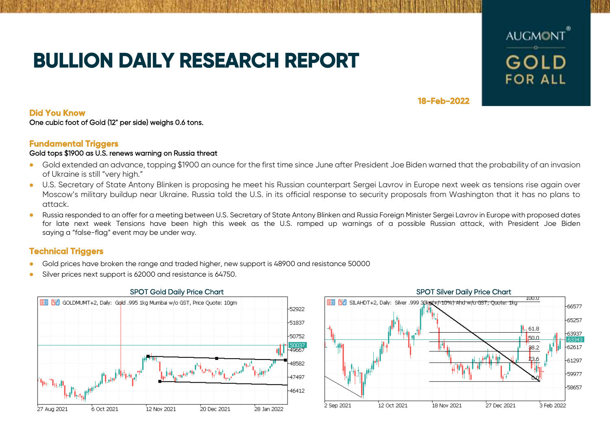# **BULLION DAILY RESEARCH REPORT**



## **18-Feb-2022**

## **Did You Know**

One cubic foot of Gold (12" per side) weighs 0.6 tons.

## **Fundamental Triggers**

## Gold tops \$1900 as U.S. renews warning on Russia threat

- Gold extended an advance, topping \$1900 an ounce for the first time since June after President Joe Biden warned that the probability of an invasion of Ukraine is still "very high."
- U.S. Secretary of State Antony Blinken is proposing he meet his Russian counterpart Sergei Lavrov in Europe next week as tensions rise again over Moscow's military buildup near Ukraine. Russia told the U.S. in its official response to security proposals from Washington that it has no plans to attack.
- Russia responded to an offer for a meeting between U.S. Secretary of State Antony Blinken and Russia Foreign Minister Sergei Lavrov in Europe with proposed dates for late next week Tensions have been high this week as the U.S. ramped up warnings of a possible Russian attack, with President Joe Biden saying a "false-flag" event may be under way.

# **Technical Triggers**

- Gold prices have broken the range and traded higher, new support is 48900 and resistance 50000
- Silver prices next support is 62000 and resistance is 64750.